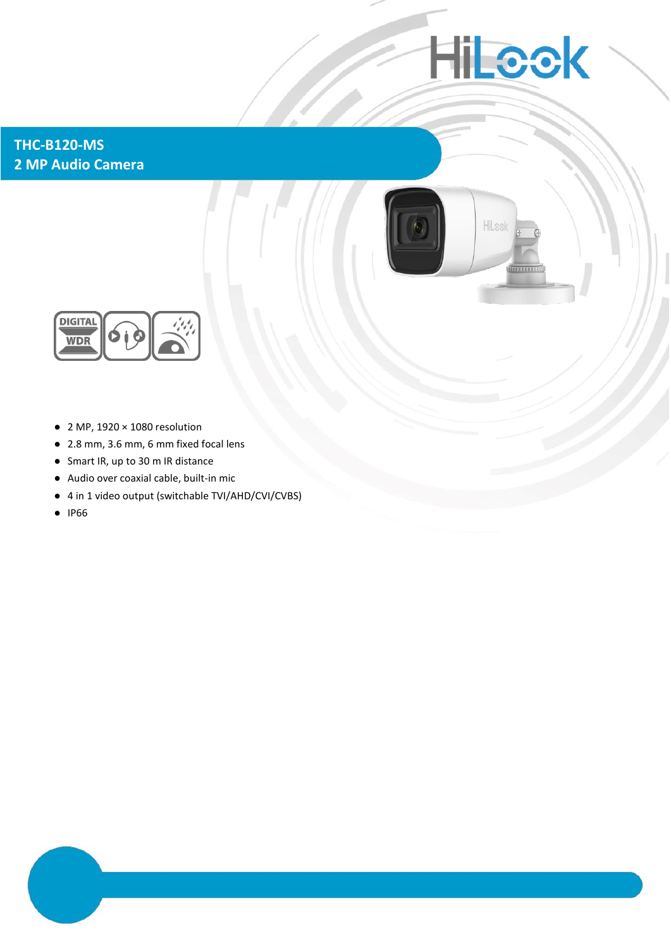# **HiLeck**

### **THC-B120-MS 2 MP Audio Camera**





- $\bullet$  2 MP, 1920  $\times$  1080 resolution
- 2.8 mm, 3.6 mm, 6 mm fixed focal lens
- Smart IR, up to 30 m IR distance
- Audio over coaxial cable, built-in mic
- 4 in 1 video output (switchable TVI/AHD/CVI/CVBS)
- IP66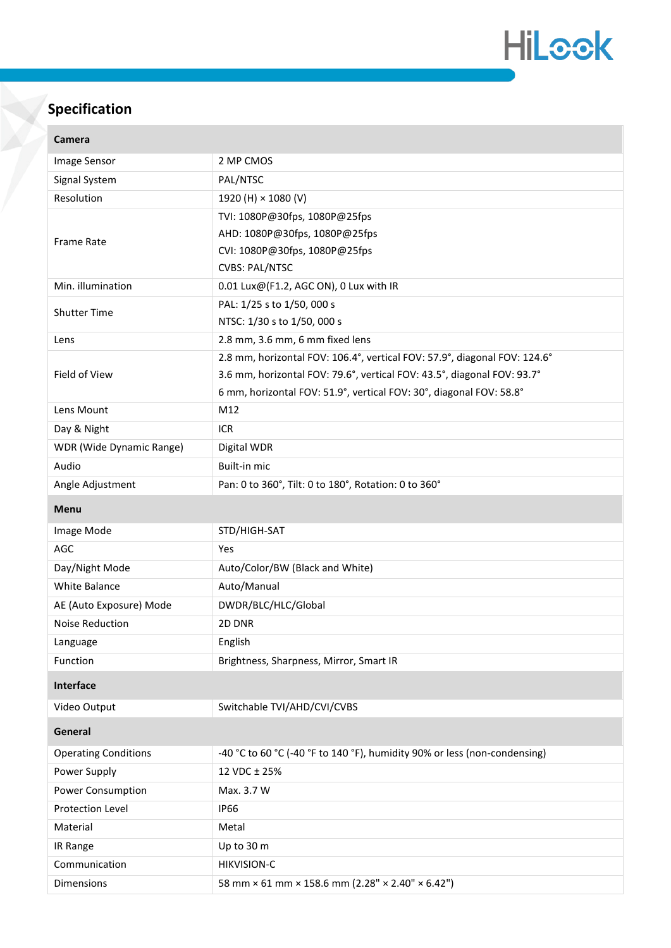

## **Specification**

| camera                      |                                                                           |
|-----------------------------|---------------------------------------------------------------------------|
| Image Sensor                | 2 MP CMOS                                                                 |
| Signal System               | PAL/NTSC                                                                  |
| Resolution                  | 1920 (H) × 1080 (V)                                                       |
| Frame Rate                  | TVI: 1080P@30fps, 1080P@25fps                                             |
|                             | AHD: 1080P@30fps, 1080P@25fps                                             |
|                             | CVI: 1080P@30fps, 1080P@25fps                                             |
|                             | <b>CVBS: PAL/NTSC</b>                                                     |
| Min. illumination           | 0.01 Lux@(F1.2, AGC ON), 0 Lux with IR                                    |
| <b>Shutter Time</b>         | PAL: 1/25 s to 1/50, 000 s                                                |
|                             | NTSC: 1/30 s to 1/50, 000 s                                               |
| Lens                        | 2.8 mm, 3.6 mm, 6 mm fixed lens                                           |
| Field of View               | 2.8 mm, horizontal FOV: 106.4°, vertical FOV: 57.9°, diagonal FOV: 124.6° |
|                             | 3.6 mm, horizontal FOV: 79.6°, vertical FOV: 43.5°, diagonal FOV: 93.7°   |
|                             | 6 mm, horizontal FOV: 51.9°, vertical FOV: 30°, diagonal FOV: 58.8°       |
| Lens Mount                  | M12                                                                       |
| Day & Night                 | <b>ICR</b>                                                                |
| WDR (Wide Dynamic Range)    | Digital WDR                                                               |
| Audio                       | Built-in mic                                                              |
| Angle Adjustment            | Pan: 0 to 360°, Tilt: 0 to 180°, Rotation: 0 to 360°                      |
| Menu                        |                                                                           |
| Image Mode                  | STD/HIGH-SAT                                                              |
| AGC                         | Yes                                                                       |
| Day/Night Mode              | Auto/Color/BW (Black and White)                                           |
| White Balance               | Auto/Manual                                                               |
| AE (Auto Exposure) Mode     | DWDR/BLC/HLC/Global                                                       |
| Noise Reduction             | 2D DNR                                                                    |
| Language                    | English                                                                   |
| Function                    | Brightness, Sharpness, Mirror, Smart IR                                   |
| Interface                   |                                                                           |
| Video Output                | Switchable TVI/AHD/CVI/CVBS                                               |
| General                     |                                                                           |
| <b>Operating Conditions</b> | -40 °C to 60 °C (-40 °F to 140 °F), humidity 90% or less (non-condensing) |
| Power Supply                | 12 VDC ± 25%                                                              |
| Power Consumption           | Max. 3.7 W                                                                |
| Protection Level            | <b>IP66</b>                                                               |
| Material                    | Metal                                                                     |
| IR Range                    | Up to 30 m                                                                |
| Communication               | <b>HIKVISION-C</b>                                                        |
| Dimensions                  | 58 mm × 61 mm × 158.6 mm (2.28" × 2.40" × 6.42")                          |
|                             |                                                                           |